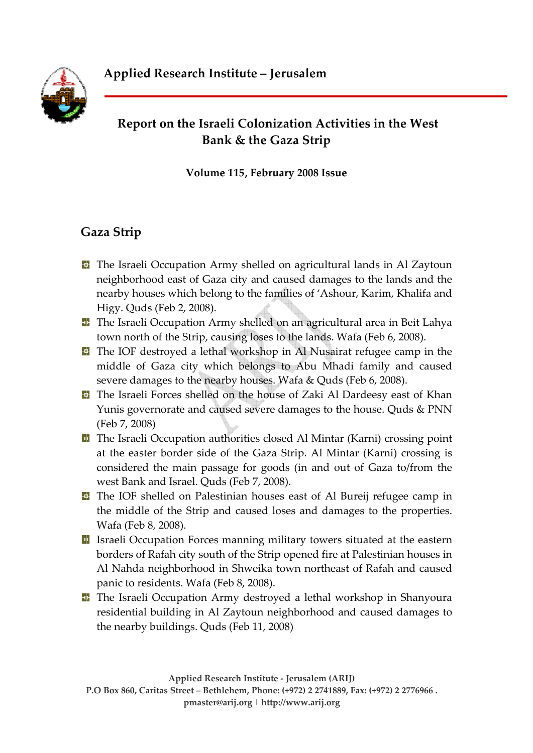

# **Report on the Israeli Colonization Activities in the West Bank & the Gaza Strip**

**Volume 115, February 2008 Issue** 

# **Gaza Strip**

- **T** The Israeli Occupation Army shelled on agricultural lands in Al Zaytoun neighborhood east of Gaza city and caused damages to the lands and the nearby houses which belong to the families of 'Ashour, Karim, Khalifa and Higy. Quds (Feb 2, 2008).
- **T** The Israeli Occupation Army shelled on an agricultural area in Beit Lahya town north of the Strip, causing loses to the lands. Wafa (Feb 6, 2008).
- **T** The IOF destroyed a lethal workshop in Al Nusairat refugee camp in the middle of Gaza city which belongs to Abu Mhadi family and caused severe damages to the nearby houses. Wafa & Quds (Feb 6, 2008).
- **T** The Israeli Forces shelled on the house of Zaki Al Dardeesy east of Khan Yunis governorate and caused severe damages to the house. Quds & PNN (Feb 7, 2008)
- **T** The Israeli Occupation authorities closed Al Mintar (Karni) crossing point at the easter border side of the Gaza Strip. Al Mintar (Karni) crossing is considered the main passage for goods (in and out of Gaza to/from the west Bank and Israel. Quds (Feb 7, 2008).
- **T** The IOF shelled on Palestinian houses east of Al Bureij refugee camp in the middle of the Strip and caused loses and damages to the properties. Wafa (Feb 8, 2008).
- **I** Israeli Occupation Forces manning military towers situated at the eastern borders of Rafah city south of the Strip opened fire at Palestinian houses in Al Nahda neighborhood in Shweika town northeast of Rafah and caused panic to residents. Wafa (Feb 8, 2008).
- **T** The Israeli Occupation Army destroyed a lethal workshop in Shanyoura residential building in Al Zaytoun neighborhood and caused damages to the nearby buildings. Quds (Feb 11, 2008)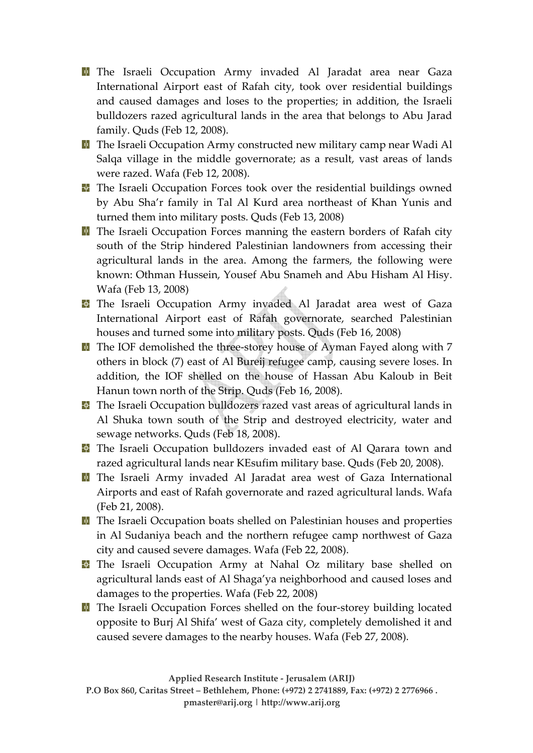- **T** The Israeli Occupation Army invaded Al Jaradat area near Gaza International Airport east of Rafah city, took over residential buildings and caused damages and loses to the properties; in addition, the Israeli bulldozers razed agricultural lands in the area that belongs to Abu Jarad family. Quds (Feb 12, 2008).
- **T** The Israeli Occupation Army constructed new military camp near Wadi Al Salqa village in the middle governorate; as a result, vast areas of lands were razed. Wafa (Feb 12, 2008).
- **T** The Israeli Occupation Forces took over the residential buildings owned by Abu Sha'r family in Tal Al Kurd area northeast of Khan Yunis and turned them into military posts. Quds (Feb 13, 2008)
- **The Israeli Occupation Forces manning the eastern borders of Rafah city** south of the Strip hindered Palestinian landowners from accessing their agricultural lands in the area. Among the farmers, the following were known: Othman Hussein, Yousef Abu Snameh and Abu Hisham Al Hisy. Wafa (Feb 13, 2008)
- **T** The Israeli Occupation Army invaded Al Jaradat area west of Gaza International Airport east of Rafah governorate, searched Palestinian houses and turned some into military posts. Quds (Feb 16, 2008)
- **T** The IOF demolished the three-storey house of Ayman Fayed along with 7 others in block (7) east of Al Bureij refugee camp, causing severe loses. In addition, the IOF shelled on the house of Hassan Abu Kaloub in Beit Hanun town north of the Strip. Quds (Feb 16, 2008).
- **T** The Israeli Occupation bulldozers razed vast areas of agricultural lands in Al Shuka town south of the Strip and destroyed electricity, water and sewage networks. Quds (Feb 18, 2008).
- **T** The Israeli Occupation bulldozers invaded east of Al Qarara town and razed agricultural lands near KEsufim military base. Quds (Feb 20, 2008).
- The Israeli Army invaded Al Jaradat area west of Gaza International Airports and east of Rafah governorate and razed agricultural lands. Wafa (Feb 21, 2008).
- **T** The Israeli Occupation boats shelled on Palestinian houses and properties in Al Sudaniya beach and the northern refugee camp northwest of Gaza city and caused severe damages. Wafa (Feb 22, 2008).
- The Israeli Occupation Army at Nahal Oz military base shelled on agricultural lands east of Al Shaga'ya neighborhood and caused loses and damages to the properties. Wafa (Feb 22, 2008)
- **The Israeli Occupation Forces shelled on the four-storey building located** opposite to Burj Al Shifa' west of Gaza city, completely demolished it and caused severe damages to the nearby houses. Wafa (Feb 27, 2008).

**Applied Research Institute ‐ Jerusalem (ARIJ) P.O Box 860, Caritas Street – Bethlehem, Phone: (+972) 2 2741889, Fax: (+972) 2 2776966 . pmaster@arij.org | http://www.arij.org**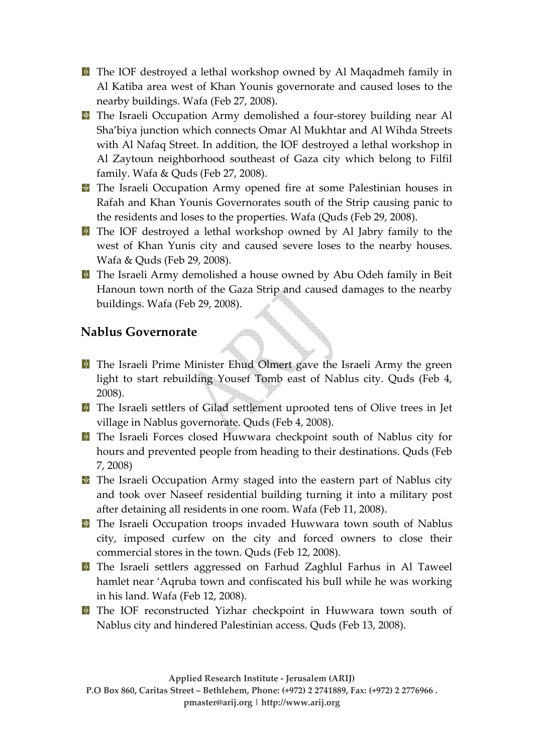**T** The IOF destroyed a lethal workshop owned by Al Maqadmeh family in Al Katiba area west of Khan Younis governorate and caused loses to the nearby buildings. Wafa (Feb 27, 2008).

- **The Israeli Occupation Army demolished a four-storey building near Al** Sha'biya junction which connects Omar Al Mukhtar and Al Wihda Streets with Al Nafaq Street. In addition, the IOF destroyed a lethal workshop in Al Zaytoun neighborhood southeast of Gaza city which belong to Filfil family. Wafa & Quds (Feb 27, 2008).
- The Israeli Occupation Army opened fire at some Palestinian houses in Rafah and Khan Younis Governorates south of the Strip causing panic to the residents and loses to the properties. Wafa (Quds (Feb 29, 2008).
- **T** The IOF destroyed a lethal workshop owned by Al Jabry family to the west of Khan Yunis city and caused severe loses to the nearby houses. Wafa & Quds (Feb 29, 2008).
- **The Israeli Army demolished a house owned by Abu Odeh family in Beit** Hanoun town north of the Gaza Strip and caused damages to the nearby buildings. Wafa (Feb 29, 2008).

#### **Nablus Governorate**

- **T** The Israeli Prime Minister Ehud Olmert gave the Israeli Army the green light to start rebuilding Yousef Tomb east of Nablus city. Quds (Feb 4, 2008).
- The Israeli settlers of Gilad settlement uprooted tens of Olive trees in Jet village in Nablus governorate. Quds (Feb 4, 2008).
- The Israeli Forces closed Huwwara checkpoint south of Nablus city for hours and prevented people from heading to their destinations. Quds (Feb 7, 2008)
- **The Israeli Occupation Army staged into the eastern part of Nablus city** and took over Naseef residential building turning it into a military post after detaining all residents in one room. Wafa (Feb 11, 2008).
- **T** The Israeli Occupation troops invaded Huwwara town south of Nablus city, imposed curfew on the city and forced owners to close their commercial stores in the town. Quds (Feb 12, 2008).
- **T** The Israeli settlers aggressed on Farhud Zaghlul Farhus in Al Taweel hamlet near 'Aqruba town and confiscated his bull while he was working in his land. Wafa (Feb 12, 2008).
- **T** The IOF reconstructed Yizhar checkpoint in Huwwara town south of Nablus city and hindered Palestinian access. Quds (Feb 13, 2008).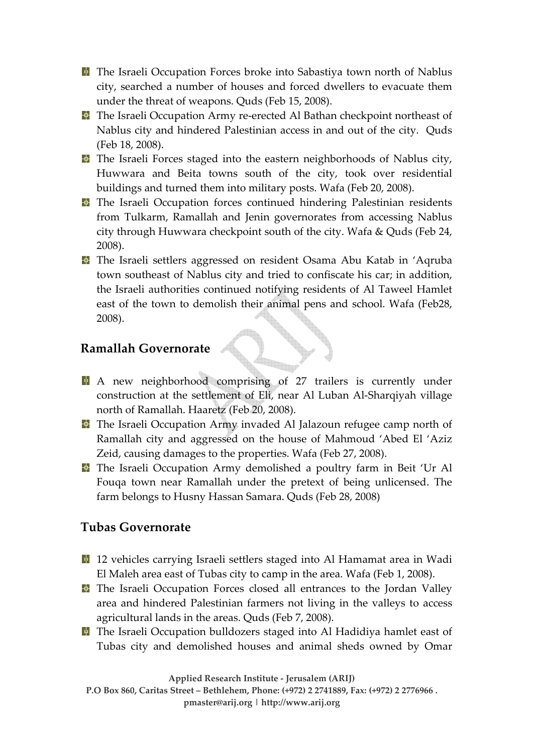**T** The Israeli Occupation Forces broke into Sabastiya town north of Nablus city, searched a number of houses and forced dwellers to evacuate them under the threat of weapons. Quds (Feb 15, 2008).

- The Israeli Occupation Army re-erected Al Bathan checkpoint northeast of Nablus city and hindered Palestinian access in and out of the city. Quds (Feb 18, 2008).
- **The Israeli Forces staged into the eastern neighborhoods of Nablus city,** Huwwara and Beita towns south of the city, took over residential buildings and turned them into military posts. Wafa (Feb 20, 2008).
- **T** The Israeli Occupation forces continued hindering Palestinian residents from Tulkarm, Ramallah and Jenin governorates from accessing Nablus city through Huwwara checkpoint south of the city. Wafa & Quds (Feb 24, 2008).
- **T** The Israeli settlers aggressed on resident Osama Abu Katab in 'Aqruba town southeast of Nablus city and tried to confiscate his car; in addition, the Israeli authorities continued notifying residents of Al Taweel Hamlet east of the town to demolish their animal pens and school. Wafa (Feb28, 2008).

#### **Ramallah Governorate**

- A new neighborhood comprising of 27 trailers is currently under construction at the settlement of Eli, near Al Luban Al‐Sharqiyah village north of Ramallah. Haaretz (Feb 20, 2008).
- **T** The Israeli Occupation Army invaded Al Jalazoun refugee camp north of Ramallah city and aggressed on the house of Mahmoud 'Abed El 'Aziz Zeid, causing damages to the properties. Wafa (Feb 27, 2008).
- **The Israeli Occupation Army demolished a poultry farm in Beit 'Ur Al** Fouqa town near Ramallah under the pretext of being unlicensed. The farm belongs to Husny Hassan Samara. Quds (Feb 28, 2008)

#### **Tubas Governorate**

- <sup>1</sup> 12 vehicles carrying Israeli settlers staged into Al Hamamat area in Wadi El Maleh area east of Tubas city to camp in the area. Wafa (Feb 1, 2008).
- **The Israeli Occupation Forces closed all entrances to the Jordan Valley** area and hindered Palestinian farmers not living in the valleys to access agricultural lands in the areas. Quds (Feb 7, 2008).
- **T** The Israeli Occupation bulldozers staged into Al Hadidiya hamlet east of Tubas city and demolished houses and animal sheds owned by Omar

**Applied Research Institute ‐ Jerusalem (ARIJ)**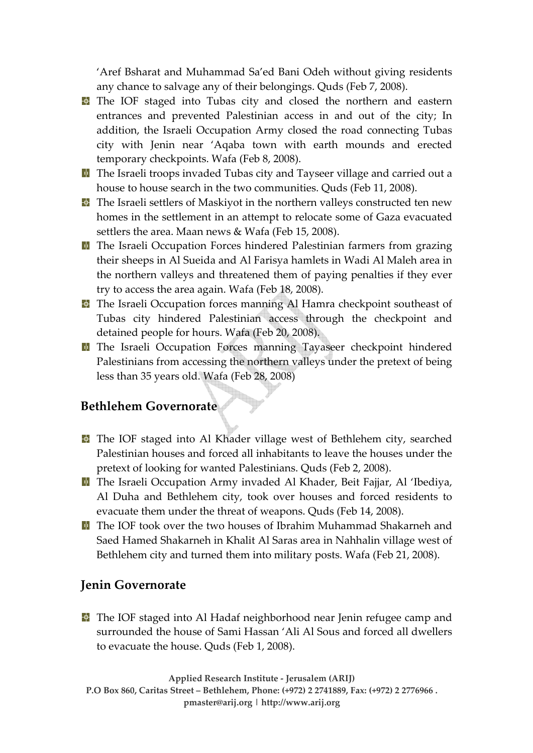'Aref Bsharat and Muhammad Sa'ed Bani Odeh without giving residents any chance to salvage any of their belongings. Quds (Feb 7, 2008).

- **T** The IOF staged into Tubas city and closed the northern and eastern entrances and prevented Palestinian access in and out of the city; In addition, the Israeli Occupation Army closed the road connecting Tubas city with Jenin near 'Aqaba town with earth mounds and erected temporary checkpoints. Wafa (Feb 8, 2008).
- **T** The Israeli troops invaded Tubas city and Tayseer village and carried out a house to house search in the two communities. Quds (Feb 11, 2008).
- **T** The Israeli settlers of Maskiyot in the northern valleys constructed ten new homes in the settlement in an attempt to relocate some of Gaza evacuated settlers the area. Maan news & Wafa (Feb 15, 2008).
- **T** The Israeli Occupation Forces hindered Palestinian farmers from grazing their sheeps in Al Sueida and Al Farisya hamlets in Wadi Al Maleh area in the northern valleys and threatened them of paying penalties if they ever try to access the area again. Wafa (Feb 18, 2008).
- **T** The Israeli Occupation forces manning Al Hamra checkpoint southeast of Tubas city hindered Palestinian access through the checkpoint and detained people for hours. Wafa (Feb 20, 2008).
- The Israeli Occupation Forces manning Tayaseer checkpoint hindered Palestinians from accessing the northern valleys under the pretext of being less than 35 years old. Wafa (Feb 28, 2008)

#### **Bethlehem Governorate**

- **T** The IOF staged into Al Khader village west of Bethlehem city, searched Palestinian houses and forced all inhabitants to leave the houses under the pretext of looking for wanted Palestinians. Quds (Feb 2, 2008).
- The Israeli Occupation Army invaded Al Khader, Beit Fajjar, Al 'Ibediya, Al Duha and Bethlehem city, took over houses and forced residents to evacuate them under the threat of weapons. Quds (Feb 14, 2008).
- The IOF took over the two houses of Ibrahim Muhammad Shakarneh and Saed Hamed Shakarneh in Khalit Al Saras area in Nahhalin village west of Bethlehem city and turned them into military posts. Wafa (Feb 21, 2008).

#### **Jenin Governorate**

**T** The IOF staged into Al Hadaf neighborhood near Jenin refugee camp and surrounded the house of Sami Hassan 'Ali Al Sous and forced all dwellers to evacuate the house. Quds (Feb 1, 2008).

**Applied Research Institute ‐ Jerusalem (ARIJ) P.O Box 860, Caritas Street – Bethlehem, Phone: (+972) 2 2741889, Fax: (+972) 2 2776966 . pmaster@arij.org | http://www.arij.org**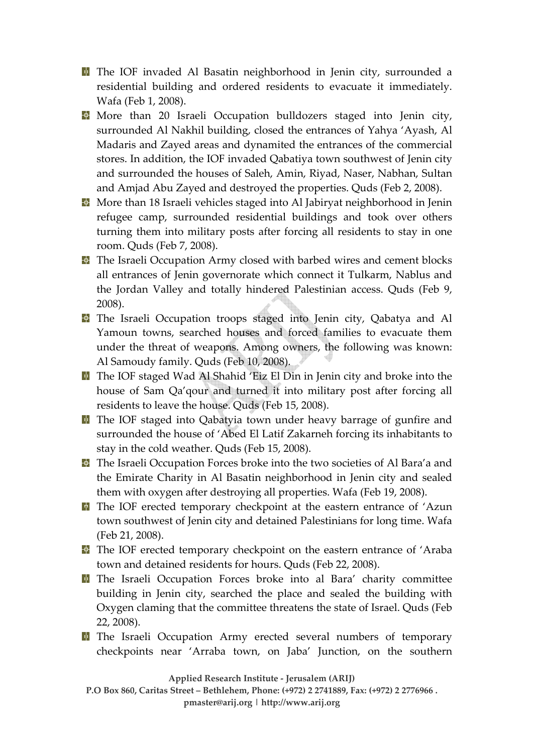- **T** The IOF invaded Al Basatin neighborhood in Jenin city, surrounded a residential building and ordered residents to evacuate it immediately. Wafa (Feb 1, 2008).
- **Nore than 20 Israeli Occupation bulldozers staged into Jenin city,** surrounded Al Nakhil building, closed the entrances of Yahya 'Ayash, Al Madaris and Zayed areas and dynamited the entrances of the commercial stores. In addition, the IOF invaded Qabatiya town southwest of Jenin city and surrounded the houses of Saleh, Amin, Riyad, Naser, Nabhan, Sultan and Amjad Abu Zayed and destroyed the properties. Quds (Feb 2, 2008).
- **More than 18 Israeli vehicles staged into Al Jabiryat neighborhood in Jenin** refugee camp, surrounded residential buildings and took over others turning them into military posts after forcing all residents to stay in one room. Quds (Feb 7, 2008).
- **T** The Israeli Occupation Army closed with barbed wires and cement blocks all entrances of Jenin governorate which connect it Tulkarm, Nablus and the Jordan Valley and totally hindered Palestinian access. Quds (Feb 9, 2008).
- **T** The Israeli Occupation troops staged into Jenin city, Qabatya and Al Yamoun towns, searched houses and forced families to evacuate them under the threat of weapons. Among owners, the following was known: Al Samoudy family. Quds (Feb 10, 2008).
- **T** The IOF staged Wad Al Shahid 'Eiz El Din in Jenin city and broke into the house of Sam Qa'qour and turned it into military post after forcing all residents to leave the house. Quds (Feb 15, 2008).
- **T** The IOF staged into Qabatyia town under heavy barrage of gunfire and surrounded the house of 'Abed El Latif Zakarneh forcing its inhabitants to stay in the cold weather. Quds (Feb 15, 2008).
- **T** The Israeli Occupation Forces broke into the two societies of Al Bara'a and the Emirate Charity in Al Basatin neighborhood in Jenin city and sealed them with oxygen after destroying all properties. Wafa (Feb 19, 2008).
- **The IOF erected temporary checkpoint at the eastern entrance of 'Azun** town southwest of Jenin city and detained Palestinians for long time. Wafa (Feb 21, 2008).
- **T** The IOF erected temporary checkpoint on the eastern entrance of 'Araba town and detained residents for hours. Quds (Feb 22, 2008).
- **T** The Israeli Occupation Forces broke into al Bara' charity committee building in Jenin city, searched the place and sealed the building with Oxygen claming that the committee threatens the state of Israel. Quds (Feb 22, 2008).
- **T** The Israeli Occupation Army erected several numbers of temporary checkpoints near 'Arraba town, on Jaba' Junction, on the southern

**Applied Research Institute ‐ Jerusalem (ARIJ)** 

**P.O Box 860, Caritas Street – Bethlehem, Phone: (+972) 2 2741889, Fax: (+972) 2 2776966 .** 

**pmaster@arij.org | http://www.arij.org**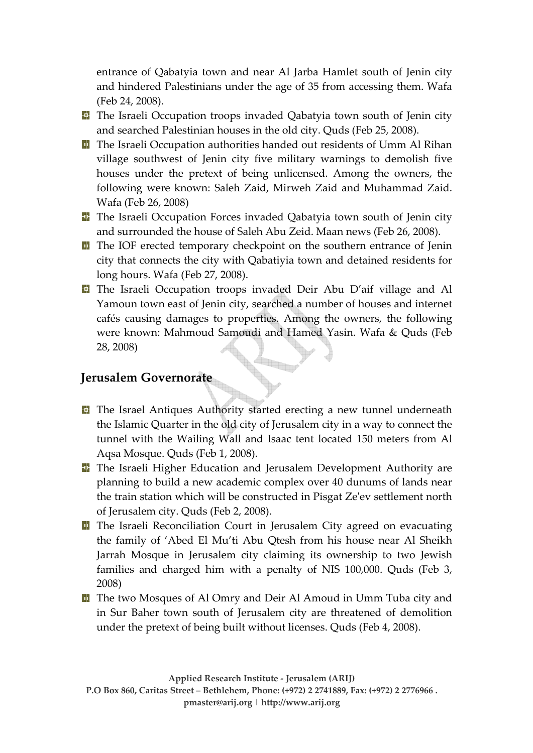entrance of Qabatyia town and near Al Jarba Hamlet south of Jenin city and hindered Palestinians under the age of 35 from accessing them. Wafa (Feb 24, 2008).

- **The Israeli Occupation troops invaded Qabatyia town south of Jenin city** and searched Palestinian houses in the old city. Quds (Feb 25, 2008).
- **T** The Israeli Occupation authorities handed out residents of Umm Al Rihan village southwest of Jenin city five military warnings to demolish five houses under the pretext of being unlicensed. Among the owners, the following were known: Saleh Zaid, Mirweh Zaid and Muhammad Zaid. Wafa (Feb 26, 2008)
- **T** The Israeli Occupation Forces invaded Qabatyia town south of Jenin city and surrounded the house of Saleh Abu Zeid. Maan news (Feb 26, 2008).
- **T** The IOF erected temporary checkpoint on the southern entrance of Jenin city that connects the city with Qabatiyia town and detained residents for long hours. Wafa (Feb 27, 2008).
- **T** The Israeli Occupation troops invaded Deir Abu D'aif village and Al Yamoun town east of Jenin city, searched a number of houses and internet cafés causing damages to properties. Among the owners, the following were known: Mahmoud Samoudi and Hamed Yasin. Wafa & Quds (Feb 28, 2008)

### **Jerusalem Governorate**

- **T** The Israel Antiques Authority started erecting a new tunnel underneath the Islamic Quarter in the old city of Jerusalem city in a way to connect the tunnel with the Wailing Wall and Isaac tent located 150 meters from Al Aqsa Mosque. Quds (Feb 1, 2008).
- **T** The Israeli Higher Education and Jerusalem Development Authority are planning to build a new academic complex over 40 dunums of lands near the train station which will be constructed in Pisgat Zeʹev settlement north of Jerusalem city. Quds (Feb 2, 2008).
- **T** The Israeli Reconciliation Court in Jerusalem City agreed on evacuating the family of 'Abed El Mu'ti Abu Qtesh from his house near Al Sheikh Jarrah Mosque in Jerusalem city claiming its ownership to two Jewish families and charged him with a penalty of NIS 100,000. Quds (Feb 3, 2008)
- **T** The two Mosques of Al Omry and Deir Al Amoud in Umm Tuba city and in Sur Baher town south of Jerusalem city are threatened of demolition under the pretext of being built without licenses. Quds (Feb 4, 2008).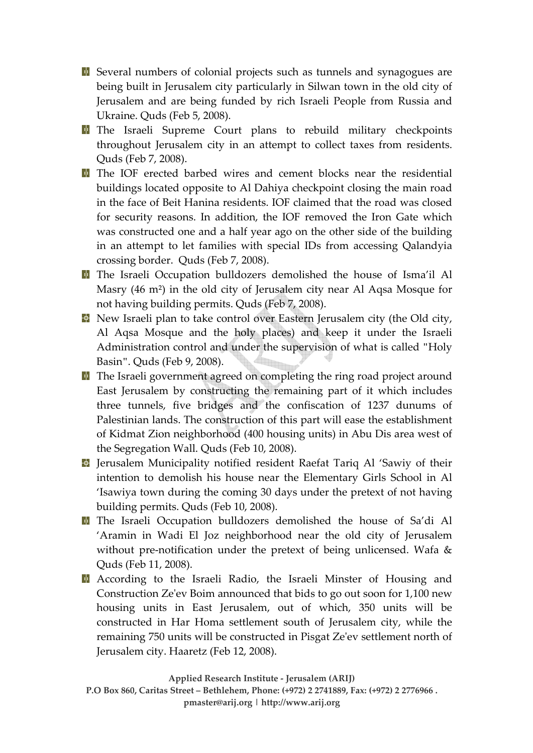**E** Several numbers of colonial projects such as tunnels and synagogues are being built in Jerusalem city particularly in Silwan town in the old city of Jerusalem and are being funded by rich Israeli People from Russia and Ukraine. Quds (Feb 5, 2008).

- The Israeli Supreme Court plans to rebuild military checkpoints throughout Jerusalem city in an attempt to collect taxes from residents. Quds (Feb 7, 2008).
- **T** The IOF erected barbed wires and cement blocks near the residential buildings located opposite to Al Dahiya checkpoint closing the main road in the face of Beit Hanina residents. IOF claimed that the road was closed for security reasons. In addition, the IOF removed the Iron Gate which was constructed one and a half year ago on the other side of the building in an attempt to let families with special IDs from accessing Qalandyia crossing border. Quds (Feb 7, 2008).
- **T** The Israeli Occupation bulldozers demolished the house of Isma'il Al Masry (46 m²) in the old city of Jerusalem city near Al Aqsa Mosque for not having building permits. Quds (Feb 7, 2008).
- **New Israeli plan to take control over Eastern Jerusalem city (the Old city,** Al Aqsa Mosque and the holy places) and keep it under the Israeli Administration control and under the supervision of what is called "Holy Basin". Quds (Feb 9, 2008).
- **T** The Israeli government agreed on completing the ring road project around East Jerusalem by constructing the remaining part of it which includes three tunnels, five bridges and the confiscation of 1237 dunums of Palestinian lands. The construction of this part will ease the establishment of Kidmat Zion neighborhood (400 housing units) in Abu Dis area west of the Segregation Wall. Quds (Feb 10, 2008).
- **D** Jerusalem Municipality notified resident Raefat Tariq Al 'Sawiy of their intention to demolish his house near the Elementary Girls School in Al 'Isawiya town during the coming 30 days under the pretext of not having building permits. Quds (Feb 10, 2008).
- **The Israeli Occupation bulldozers demolished the house of Sa'di Al** 'Aramin in Wadi El Joz neighborhood near the old city of Jerusalem without pre-notification under the pretext of being unlicensed. Wafa & Quds (Feb 11, 2008).
- **E** According to the Israeli Radio, the Israeli Minster of Housing and Construction Zeʹev Boim announced that bids to go out soon for 1,100 new housing units in East Jerusalem, out of which, 350 units will be constructed in Har Homa settlement south of Jerusalem city, while the remaining 750 units will be constructed in Pisgat Zeʹev settlement north of Jerusalem city. Haaretz (Feb 12, 2008).

**Applied Research Institute ‐ Jerusalem (ARIJ)**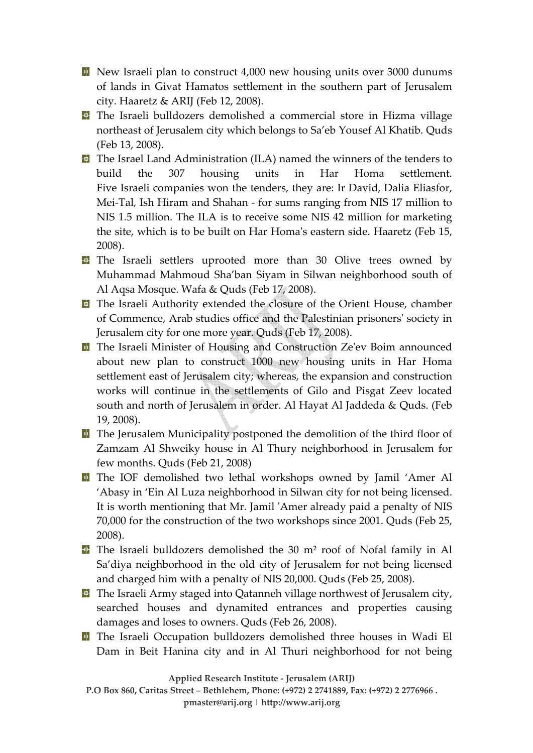New Israeli plan to construct 4,000 new housing units over 3000 dunums of lands in Givat Hamatos settlement in the southern part of Jerusalem city. Haaretz & ARIJ (Feb 12, 2008).

**T** The Israeli bulldozers demolished a commercial store in Hizma village northeast of Jerusalem city which belongs to Sa'eb Yousef Al Khatib. Quds (Feb 13, 2008).

**T** The Israel Land Administration (ILA) named the winners of the tenders to build the 307 housing units in Har Homa settlement. Five Israeli companies won the tenders, they are: Ir David, Dalia Eliasfor, Mei‐Tal, Ish Hiram and Shahan ‐ for sums ranging from NIS 17 million to NIS 1.5 million. The ILA is to receive some NIS 42 million for marketing the site, which is to be built on Har Homaʹs eastern side. Haaretz (Feb 15, 2008).

**T** The Israeli settlers uprooted more than 30 Olive trees owned by Muhammad Mahmoud Sha'ban Siyam in Silwan neighborhood south of Al Aqsa Mosque. Wafa & Quds (Feb 17, 2008).

**T** The Israeli Authority extended the closure of the Orient House, chamber of Commence, Arab studies office and the Palestinian prisonersʹ society in Jerusalem city for one more year. Quds (Feb 17, 2008).

**T** The Israeli Minister of Housing and Construction Ze'ev Boim announced about new plan to construct 1000 new housing units in Har Homa settlement east of Jerusalem city; whereas, the expansion and construction works will continue in the settlements of Gilo and Pisgat Zeev located south and north of Jerusalem in order. Al Hayat Al Jaddeda & Quds. (Feb 19, 2008).

**T** The Jerusalem Municipality postponed the demolition of the third floor of Zamzam Al Shweiky house in Al Thury neighborhood in Jerusalem for few months. Quds (Feb 21, 2008)

The IOF demolished two lethal workshops owned by Jamil 'Amer Al 'Abasy in 'Ein Al Luza neighborhood in Silwan city for not being licensed. It is worth mentioning that Mr. Jamil 'Amer already paid a penalty of NIS 70,000 for the construction of the two workshops since 2001. Quds (Feb 25, 2008).

**The Israeli bulldozers demolished the 30 m<sup>2</sup> roof of Nofal family in Al** Sa'diya neighborhood in the old city of Jerusalem for not being licensed and charged him with a penalty of NIS 20,000. Quds (Feb 25, 2008).

 $\blacksquare$  The Israeli Army staged into Qatanneh village northwest of Jerusalem city, searched houses and dynamited entrances and properties causing damages and loses to owners. Quds (Feb 26, 2008).

**The Israeli Occupation bulldozers demolished three houses in Wadi El** Dam in Beit Hanina city and in Al Thuri neighborhood for not being

**Applied Research Institute ‐ Jerusalem (ARIJ)** 

**P.O Box 860, Caritas Street – Bethlehem, Phone: (+972) 2 2741889, Fax: (+972) 2 2776966 .** 

**pmaster@arij.org | http://www.arij.org**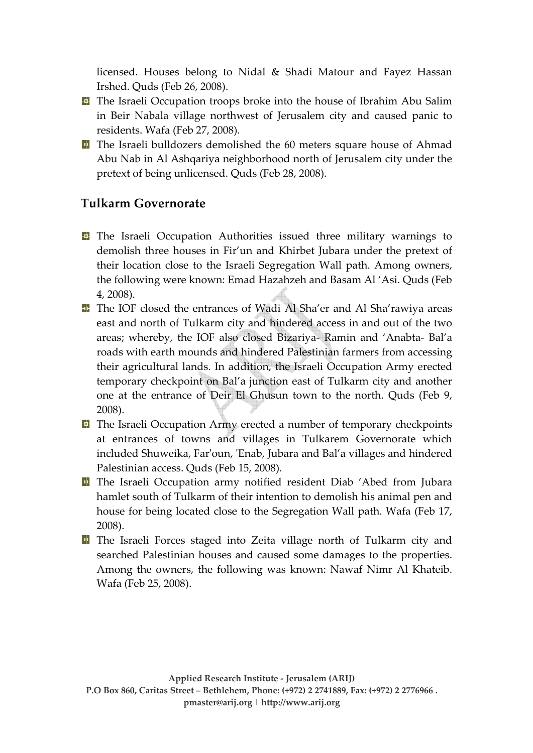licensed. Houses belong to Nidal & Shadi Matour and Fayez Hassan Irshed. Quds (Feb 26, 2008).

- **T** The Israeli Occupation troops broke into the house of Ibrahim Abu Salim in Beir Nabala village northwest of Jerusalem city and caused panic to residents. Wafa (Feb 27, 2008).
- **T** The Israeli bulldozers demolished the 60 meters square house of Ahmad Abu Nab in Al Ashqariya neighborhood north of Jerusalem city under the pretext of being unlicensed. Quds (Feb 28, 2008).

# **Tulkarm Governorate**

- **T** The Israeli Occupation Authorities issued three military warnings to demolish three houses in Fir'un and Khirbet Jubara under the pretext of their location close to the Israeli Segregation Wall path. Among owners, the following were known: Emad Hazahzeh and Basam Al 'Asi. Quds (Feb 4, 2008).
- **T** The IOF closed the entrances of Wadi Al Sha'er and Al Sha'rawiya areas east and north of Tulkarm city and hindered access in and out of the two areas; whereby, the IOF also closed Bizariya‐ Ramin and 'Anabta‐ Bal'a roads with earth mounds and hindered Palestinian farmers from accessing their agricultural lands. In addition, the Israeli Occupation Army erected temporary checkpoint on Bal'a junction east of Tulkarm city and another one at the entrance of Deir El Ghusun town to the north. Quds (Feb 9, 2008).
- **T** The Israeli Occupation Army erected a number of temporary checkpoints at entrances of towns and villages in Tulkarem Governorate which included Shuweika, Farʹoun, ʹEnab, Jubara and Bal'a villages and hindered Palestinian access. Quds (Feb 15, 2008).
- **T** The Israeli Occupation army notified resident Diab 'Abed from Jubara hamlet south of Tulkarm of their intention to demolish his animal pen and house for being located close to the Segregation Wall path. Wafa (Feb 17, 2008).
- **T** The Israeli Forces staged into Zeita village north of Tulkarm city and searched Palestinian houses and caused some damages to the properties. Among the owners, the following was known: Nawaf Nimr Al Khateib. Wafa (Feb 25, 2008).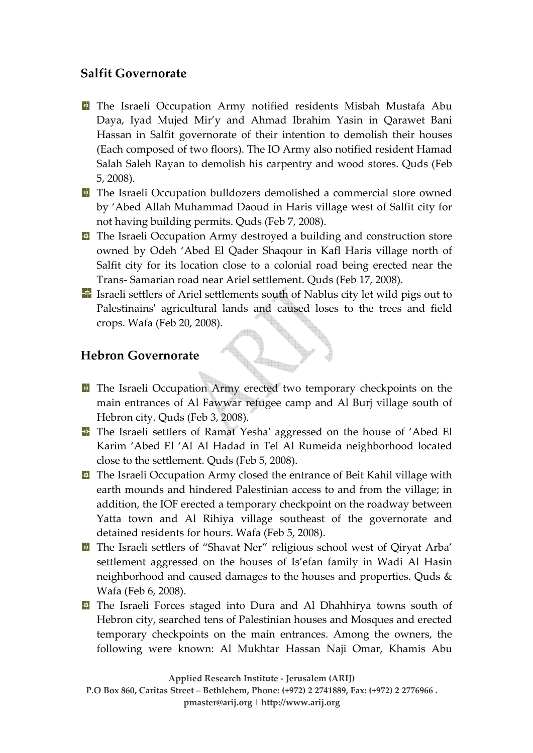### **Salfit Governorate**

- The Israeli Occupation Army notified residents Misbah Mustafa Abu Daya, Iyad Mujed Mir'y and Ahmad Ibrahim Yasin in Qarawet Bani Hassan in Salfit governorate of their intention to demolish their houses (Each composed of two floors). The IO Army also notified resident Hamad Salah Saleh Rayan to demolish his carpentry and wood stores. Quds (Feb 5, 2008).
- **T** The Israeli Occupation bulldozers demolished a commercial store owned by 'Abed Allah Muhammad Daoud in Haris village west of Salfit city for not having building permits. Quds (Feb 7, 2008).
- **T** The Israeli Occupation Army destroyed a building and construction store owned by Odeh 'Abed El Qader Shaqour in Kafl Haris village north of Salfit city for its location close to a colonial road being erected near the Trans‐ Samarian road near Ariel settlement. Quds (Feb 17, 2008).
- I Israeli settlers of Ariel settlements south of Nablus city let wild pigs out to Palestinains' agricultural lands and caused loses to the trees and field crops. Wafa (Feb 20, 2008).

# **Hebron Governorate**

- **T** The Israeli Occupation Army erected two temporary checkpoints on the main entrances of Al Fawwar refugee camp and Al Burj village south of Hebron city. Quds (Feb 3, 2008).
- **The Israeli settlers of Ramat Yesha' aggressed on the house of 'Abed El** Karim 'Abed El 'Al Al Hadad in Tel Al Rumeida neighborhood located close to the settlement. Quds (Feb 5, 2008).
- **T** The Israeli Occupation Army closed the entrance of Beit Kahil village with earth mounds and hindered Palestinian access to and from the village; in addition, the IOF erected a temporary checkpoint on the roadway between Yatta town and Al Rihiya village southeast of the governorate and detained residents for hours. Wafa (Feb 5, 2008).
- The Israeli settlers of "Shavat Ner" religious school west of Qiryat Arba' settlement aggressed on the houses of Is'efan family in Wadi Al Hasin neighborhood and caused damages to the houses and properties. Quds & Wafa (Feb 6, 2008).
- **T** The Israeli Forces staged into Dura and Al Dhahhirya towns south of Hebron city, searched tens of Palestinian houses and Mosques and erected temporary checkpoints on the main entrances. Among the owners, the following were known: Al Mukhtar Hassan Naji Omar, Khamis Abu

**Applied Research Institute ‐ Jerusalem (ARIJ)**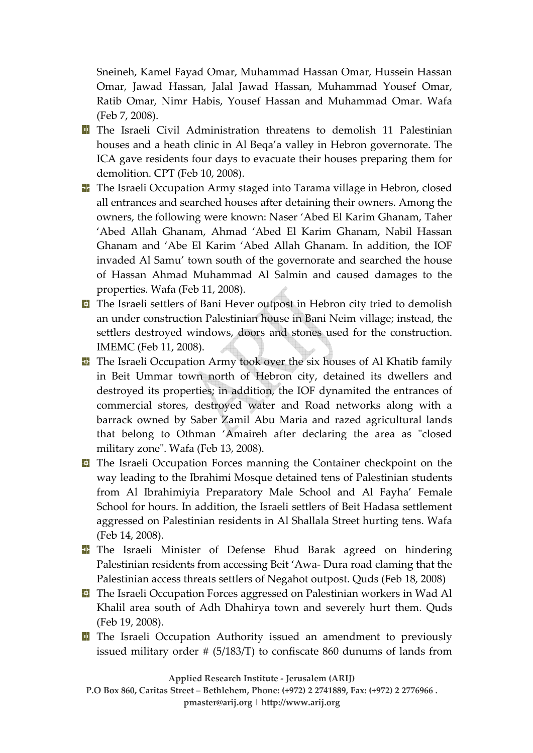Sneineh, Kamel Fayad Omar, Muhammad Hassan Omar, Hussein Hassan Omar, Jawad Hassan, Jalal Jawad Hassan, Muhammad Yousef Omar, Ratib Omar, Nimr Habis, Yousef Hassan and Muhammad Omar. Wafa (Feb 7, 2008).

- **T** The Israeli Civil Administration threatens to demolish 11 Palestinian houses and a heath clinic in Al Beqa'a valley in Hebron governorate. The ICA gave residents four days to evacuate their houses preparing them for demolition. CPT (Feb 10, 2008).
- **T** The Israeli Occupation Army staged into Tarama village in Hebron, closed all entrances and searched houses after detaining their owners. Among the owners, the following were known: Naser 'Abed El Karim Ghanam, Taher 'Abed Allah Ghanam, Ahmad 'Abed El Karim Ghanam, Nabil Hassan Ghanam and 'Abe El Karim 'Abed Allah Ghanam. In addition, the IOF invaded Al Samu' town south of the governorate and searched the house of Hassan Ahmad Muhammad Al Salmin and caused damages to the properties. Wafa (Feb 11, 2008).
- **T** The Israeli settlers of Bani Hever outpost in Hebron city tried to demolish an under construction Palestinian house in Bani Neim village; instead, the settlers destroyed windows, doors and stones used for the construction. IMEMC (Feb 11, 2008).
- **T** The Israeli Occupation Army took over the six houses of Al Khatib family in Beit Ummar town north of Hebron city, detained its dwellers and destroyed its properties; in addition, the IOF dynamited the entrances of commercial stores, destroyed water and Road networks along with a barrack owned by Saber Zamil Abu Maria and razed agricultural lands that belong to Othman 'Amaireh after declaring the area as "closed military zone". Wafa (Feb 13, 2008).
- **T** The Israeli Occupation Forces manning the Container checkpoint on the way leading to the Ibrahimi Mosque detained tens of Palestinian students from Al Ibrahimiyia Preparatory Male School and Al Fayha' Female School for hours. In addition, the Israeli settlers of Beit Hadasa settlement aggressed on Palestinian residents in Al Shallala Street hurting tens. Wafa (Feb 14, 2008).
- **T** The Israeli Minister of Defense Ehud Barak agreed on hindering Palestinian residents from accessing Beit 'Awa‐ Dura road claming that the Palestinian access threats settlers of Negahot outpost. Quds (Feb 18, 2008)
- **T** The Israeli Occupation Forces aggressed on Palestinian workers in Wad Al Khalil area south of Adh Dhahirya town and severely hurt them. Quds (Feb 19, 2008).
- **T** The Israeli Occupation Authority issued an amendment to previously issued military order # (5/183/T) to confiscate 860 dunums of lands from

**Applied Research Institute ‐ Jerusalem (ARIJ)**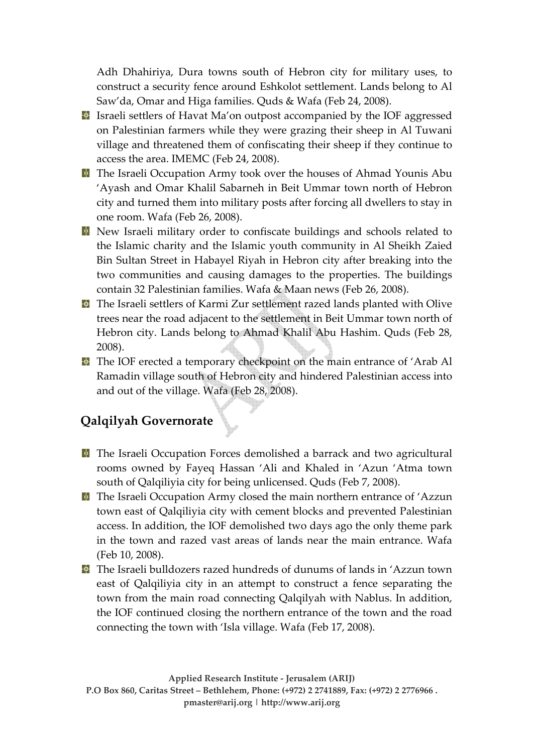Adh Dhahiriya, Dura towns south of Hebron city for military uses, to construct a security fence around Eshkolot settlement. Lands belong to Al Saw'da, Omar and Higa families. Quds & Wafa (Feb 24, 2008).

- I Israeli settlers of Havat Ma'on outpost accompanied by the IOF aggressed on Palestinian farmers while they were grazing their sheep in Al Tuwani village and threatened them of confiscating their sheep if they continue to access the area. IMEMC (Feb 24, 2008).
- **T** The Israeli Occupation Army took over the houses of Ahmad Younis Abu 'Ayash and Omar Khalil Sabarneh in Beit Ummar town north of Hebron city and turned them into military posts after forcing all dwellers to stay in one room. Wafa (Feb 26, 2008).
- New Israeli military order to confiscate buildings and schools related to the Islamic charity and the Islamic youth community in Al Sheikh Zaied Bin Sultan Street in Habayel Riyah in Hebron city after breaking into the two communities and causing damages to the properties. The buildings contain 32 Palestinian families. Wafa & Maan news (Feb 26, 2008).
- **T** The Israeli settlers of Karmi Zur settlement razed lands planted with Olive trees near the road adjacent to the settlement in Beit Ummar town north of Hebron city. Lands belong to Ahmad Khalil Abu Hashim. Quds (Feb 28, 2008).
- **T** The IOF erected a temporary checkpoint on the main entrance of 'Arab Al Ramadin village south of Hebron city and hindered Palestinian access into and out of the village. Wafa (Feb 28, 2008).

# **Qalqilyah Governorate**

- **T** The Israeli Occupation Forces demolished a barrack and two agricultural rooms owned by Fayeq Hassan 'Ali and Khaled in 'Azun 'Atma town south of Qalqiliyia city for being unlicensed. Quds (Feb 7, 2008).
- **T** The Israeli Occupation Army closed the main northern entrance of 'Azzun town east of Qalqiliyia city with cement blocks and prevented Palestinian access. In addition, the IOF demolished two days ago the only theme park in the town and razed vast areas of lands near the main entrance. Wafa (Feb 10, 2008).
- The Israeli bulldozers razed hundreds of dunums of lands in 'Azzun town east of Qalqiliyia city in an attempt to construct a fence separating the town from the main road connecting Qalqilyah with Nablus. In addition, the IOF continued closing the northern entrance of the town and the road connecting the town with 'Isla village. Wafa (Feb 17, 2008).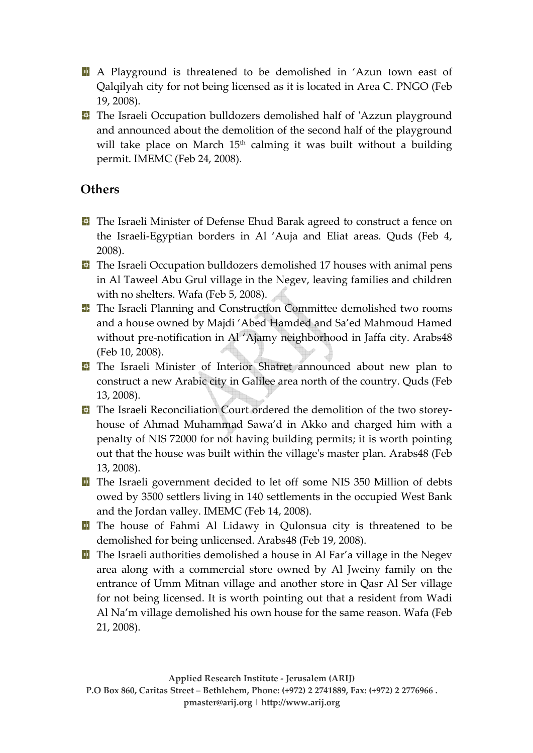A Playground is threatened to be demolished in 'Azun town east of Qalqilyah city for not being licensed as it is located in Area C. PNGO (Feb 19, 2008).

**T** The Israeli Occupation bulldozers demolished half of 'Azzun playground and announced about the demolition of the second half of the playground will take place on March  $15<sup>th</sup>$  calming it was built without a building permit. IMEMC (Feb 24, 2008).

# **Others**

- **T** The Israeli Minister of Defense Ehud Barak agreed to construct a fence on the Israeli‐Egyptian borders in Al 'Auja and Eliat areas. Quds (Feb 4, 2008).
- **T** The Israeli Occupation bulldozers demolished 17 houses with animal pens in Al Taweel Abu Grul village in the Negev, leaving families and children with no shelters. Wafa (Feb 5, 2008).
- **T** The Israeli Planning and Construction Committee demolished two rooms and a house owned by Majdi 'Abed Hamded and Sa'ed Mahmoud Hamed without pre-notification in Al 'Ajamy neighborhood in Jaffa city. Arabs48 (Feb 10, 2008).
- The Israeli Minister of Interior Shatret announced about new plan to construct a new Arabic city in Galilee area north of the country. Quds (Feb 13, 2008).
- **The Israeli Reconciliation Court ordered the demolition of the two storey**house of Ahmad Muhammad Sawa'd in Akko and charged him with a penalty of NIS 72000 for not having building permits; it is worth pointing out that the house was built within the villageʹs master plan. Arabs48 (Feb 13, 2008).
- **T** The Israeli government decided to let off some NIS 350 Million of debts owed by 3500 settlers living in 140 settlements in the occupied West Bank and the Jordan valley. IMEMC (Feb 14, 2008).
- **T** The house of Fahmi Al Lidawy in Qulonsua city is threatened to be demolished for being unlicensed. Arabs48 (Feb 19, 2008).
- **T** The Israeli authorities demolished a house in Al Far'a village in the Negev area along with a commercial store owned by Al Jweiny family on the entrance of Umm Mitnan village and another store in Qasr Al Ser village for not being licensed. It is worth pointing out that a resident from Wadi Al Na'm village demolished his own house for the same reason. Wafa (Feb 21, 2008).